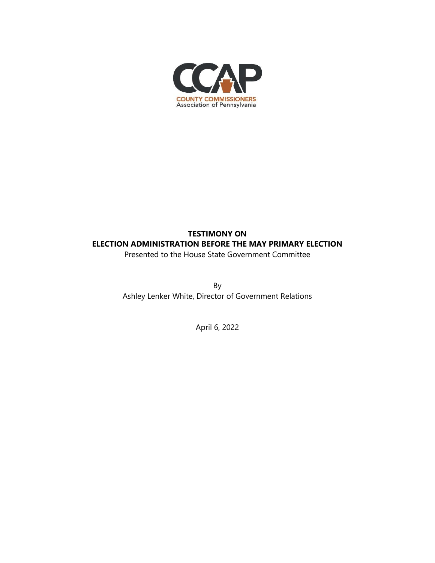

## **TESTIMONY ON ELECTION ADMINISTRATION BEFORE THE MAY PRIMARY ELECTION**

Presented to the House State Government Committee

By Ashley Lenker White, Director of Government Relations

April 6, 2022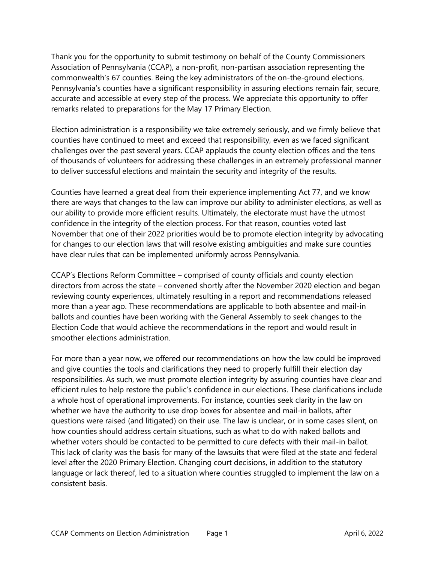Thank you for the opportunity to submit testimony on behalf of the County Commissioners Association of Pennsylvania (CCAP), a non-profit, non-partisan association representing the commonwealth's 67 counties. Being the key administrators of the on-the-ground elections, Pennsylvania's counties have a significant responsibility in assuring elections remain fair, secure, accurate and accessible at every step of the process. We appreciate this opportunity to offer remarks related to preparations for the May 17 Primary Election.

Election administration is a responsibility we take extremely seriously, and we firmly believe that counties have continued to meet and exceed that responsibility, even as we faced significant challenges over the past several years. CCAP applauds the county election offices and the tens of thousands of volunteers for addressing these challenges in an extremely professional manner to deliver successful elections and maintain the security and integrity of the results.

Counties have learned a great deal from their experience implementing Act 77, and we know there are ways that changes to the law can improve our ability to administer elections, as well as our ability to provide more efficient results. Ultimately, the electorate must have the utmost confidence in the integrity of the election process. For that reason, counties voted last November that one of their 2022 priorities would be to promote election integrity by advocating for changes to our election laws that will resolve existing ambiguities and make sure counties have clear rules that can be implemented uniformly across Pennsylvania.

CCAP's Elections Reform Committee – comprised of county officials and county election directors from across the state – convened shortly after the November 2020 election and began reviewing county experiences, ultimately resulting in a report and recommendations released more than a year ago. These recommendations are applicable to both absentee and mail-in ballots and counties have been working with the General Assembly to seek changes to the Election Code that would achieve the recommendations in the report and would result in smoother elections administration.

For more than a year now, we offered our recommendations on how the law could be improved and give counties the tools and clarifications they need to properly fulfill their election day responsibilities. As such, we must promote election integrity by assuring counties have clear and efficient rules to help restore the public's confidence in our elections. These clarifications include a whole host of operational improvements. For instance, counties seek clarity in the law on whether we have the authority to use drop boxes for absentee and mail-in ballots, after questions were raised (and litigated) on their use. The law is unclear, or in some cases silent, on how counties should address certain situations, such as what to do with naked ballots and whether voters should be contacted to be permitted to cure defects with their mail-in ballot. This lack of clarity was the basis for many of the lawsuits that were filed at the state and federal level after the 2020 Primary Election. Changing court decisions, in addition to the statutory language or lack thereof, led to a situation where counties struggled to implement the law on a consistent basis.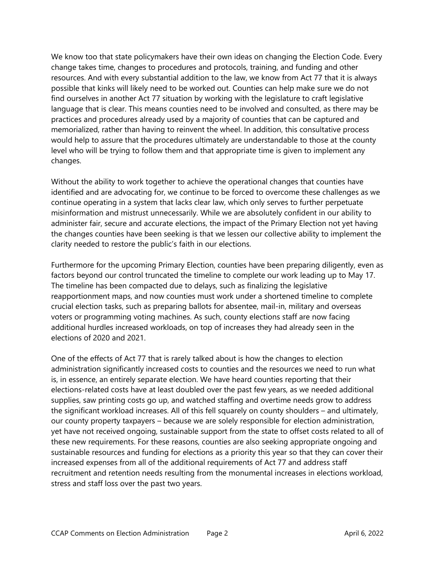We know too that state policymakers have their own ideas on changing the Election Code. Every change takes time, changes to procedures and protocols, training, and funding and other resources. And with every substantial addition to the law, we know from Act 77 that it is always possible that kinks will likely need to be worked out. Counties can help make sure we do not find ourselves in another Act 77 situation by working with the legislature to craft legislative language that is clear. This means counties need to be involved and consulted, as there may be practices and procedures already used by a majority of counties that can be captured and memorialized, rather than having to reinvent the wheel. In addition, this consultative process would help to assure that the procedures ultimately are understandable to those at the county level who will be trying to follow them and that appropriate time is given to implement any changes.

Without the ability to work together to achieve the operational changes that counties have identified and are advocating for, we continue to be forced to overcome these challenges as we continue operating in a system that lacks clear law, which only serves to further perpetuate misinformation and mistrust unnecessarily. While we are absolutely confident in our ability to administer fair, secure and accurate elections, the impact of the Primary Election not yet having the changes counties have been seeking is that we lessen our collective ability to implement the clarity needed to restore the public's faith in our elections.

Furthermore for the upcoming Primary Election, counties have been preparing diligently, even as factors beyond our control truncated the timeline to complete our work leading up to May 17. The timeline has been compacted due to delays, such as finalizing the legislative reapportionment maps, and now counties must work under a shortened timeline to complete crucial election tasks, such as preparing ballots for absentee, mail-in, military and overseas voters or programming voting machines. As such, county elections staff are now facing additional hurdles increased workloads, on top of increases they had already seen in the elections of 2020 and 2021.

One of the effects of Act 77 that is rarely talked about is how the changes to election administration significantly increased costs to counties and the resources we need to run what is, in essence, an entirely separate election. We have heard counties reporting that their elections-related costs have at least doubled over the past few years, as we needed additional supplies, saw printing costs go up, and watched staffing and overtime needs grow to address the significant workload increases. All of this fell squarely on county shoulders – and ultimately, our county property taxpayers – because we are solely responsible for election administration, yet have not received ongoing, sustainable support from the state to offset costs related to all of these new requirements. For these reasons, counties are also seeking appropriate ongoing and sustainable resources and funding for elections as a priority this year so that they can cover their increased expenses from all of the additional requirements of Act 77 and address staff recruitment and retention needs resulting from the monumental increases in elections workload, stress and staff loss over the past two years.